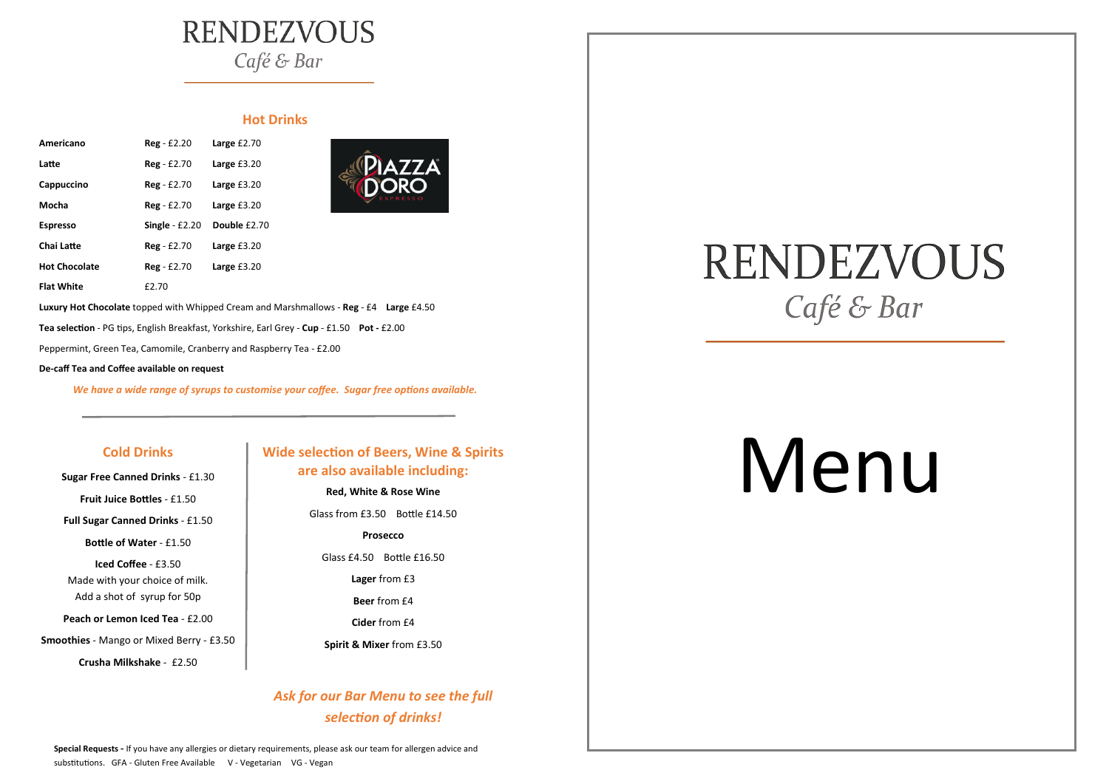#### **Cold Drinks**

**Sugar Free Canned Drinks** - £1.30 **Fruit Juice Bottles** - £1.50

**Full Sugar Canned Drinks** - £1.50

**Bottle of Water** - £1.50

**Iced Coffee** - £3.50 Made with your choice of milk. Add a shot of syrup for 50p

**Peach or Lemon Iced Tea** - £2.00

**Smoothies** - Mango or Mixed Berry - £3.50

**Crusha Milkshake** - £2.50

# **RENDEZVOUS** Café & Bar

#### **Hot Drinks**

| Americano            | Reg - £2.20      | Large $£2.70$ |
|----------------------|------------------|---------------|
| Latte                | $Reg - £2.70$    | Large $£3.20$ |
| Cappuccino           | $Reg - £2.70$    | Large $£3.20$ |
| Mocha                | Reg - £2.70      | Large £3.20   |
|                      |                  |               |
| <b>Espresso</b>      | Single $- f2.20$ | Double £2.70  |
| Chai Latte           | $Reg - £2.70$    | Large $£3.20$ |
| <b>Hot Chocolate</b> | $Reg - £2.70$    | Large £3.20   |



**Luxury Hot Chocolate** topped with Whipped Cream and Marshmallows - **Reg** - £4 **Large** £4.50

**Special Requests -** If you have any allergies or dietary requirements, please ask our team for allergen advice and substitutions. GFA - Gluten Free Available V - Vegetarian VG - Vegan

# **RENDEZVOUS** Café & Bar

**Tea selection** - PG tips, English Breakfast, Yorkshire, Earl Grey - **Cup** - £1.50 **Pot -** £2.00

Peppermint, Green Tea, Camomile, Cranberry and Raspberry Tea - £2.00

**De-caff Tea and Coffee available on request** 

*We have a wide range of syrups to customise your coffee. Sugar free options available.* 

### **Wide selection of Beers, Wine & Spirits are also available including:**

**Red, White & Rose Wine**  Glass from £3.50 Bottle £14.50 **Prosecco**  Glass £4.50 Bottle £16.50 **Lager** from £3 **Beer** from £4 **Cider** from £4

**Spirit & Mixer** from £3.50

## *Ask for our Bar Menu to see the full selection of drinks!*

# Menu